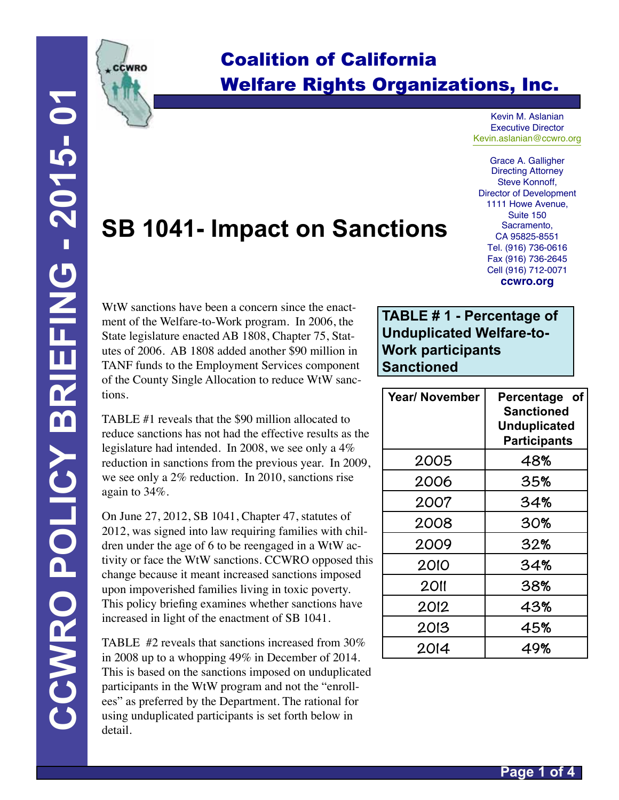

## Coalition of California Welfare Rights Organizations, Inc.

Kevin M. Aslanian Executive Director Kevin.aslanian@ccwro.org

Grace A. Galligher Directing Attorney Steve Konnoff, Director of Development 1111 Howe Avenue, Suite 150 Sacramento, CA 95825-8551 Tel. (916) 736-0616 Fax (916) 736-2645 Cell (916) 712-0071 **ccwro.org**

# **SB 1041- Impact on Sanctions**

WtW sanctions have been a concern since the enactment of the Welfare-to-Work program. In 2006, the State legislature enacted AB 1808, Chapter 75, Statutes of 2006. AB 1808 added another \$90 million in TANF funds to the Employment Services component of the County Single Allocation to reduce WtW sanctions.

TABLE #1 reveals that the \$90 million allocated to reduce sanctions has not had the effective results as the legislature had intended. In 2008, we see only a 4% reduction in sanctions from the previous year. In 2009, we see only a 2% reduction. In 2010, sanctions rise again to 34%.

On June 27, 2012, SB 1041, Chapter 47, statutes of 2012, was signed into law requiring families with children under the age of 6 to be reengaged in a WtW activity or face the WtW sanctions. CCWRO opposed this change because it meant increased sanctions imposed upon impoverished families living in toxic poverty. This policy briefing examines whether sanctions have increased in light of the enactment of SB 1041.

TABLE #2 reveals that sanctions increased from 30% in 2008 up to a whopping 49% in December of 2014. This is based on the sanctions imposed on unduplicated participants in the WtW program and not the "enrollees" as preferred by the Department. The rational for using unduplicated participants is set forth below in detail.

#### **TABLE # 1 - Percentage of Unduplicated Welfare-to-Work participants Sanctioned**

| Year/ November | Percentage of<br><b>Sanctioned</b><br><b>Unduplicated</b><br><b>Participants</b> |  |  |  |  |
|----------------|----------------------------------------------------------------------------------|--|--|--|--|
| 2005           | 48%                                                                              |  |  |  |  |
| 2006           | 35%                                                                              |  |  |  |  |
| 2007           | 34%                                                                              |  |  |  |  |
| 2008           | 30%                                                                              |  |  |  |  |
| 2009           | 32%                                                                              |  |  |  |  |
| 2010           | 34%                                                                              |  |  |  |  |
| <b>2011</b>    | 38%                                                                              |  |  |  |  |
| 2012           | 43%                                                                              |  |  |  |  |
| 2013           | 45%                                                                              |  |  |  |  |
| 2014           | 49%                                                                              |  |  |  |  |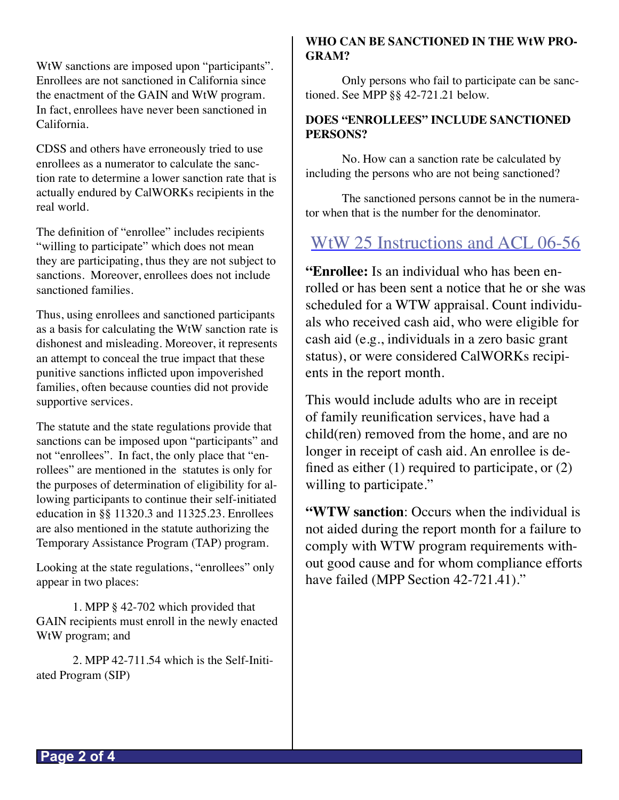WtW sanctions are imposed upon "participants". Enrollees are not sanctioned in California since the enactment of the GAIN and WtW program. In fact, enrollees have never been sanctioned in California.

CDSS and others have erroneously tried to use enrollees as a numerator to calculate the sanction rate to determine a lower sanction rate that is actually endured by CalWORKs recipients in the real world.

The definition of "enrollee" includes recipients "willing to participate" which does not mean they are participating, thus they are not subject to sanctions. Moreover, enrollees does not include sanctioned families.

Thus, using enrollees and sanctioned participants as a basis for calculating the WtW sanction rate is dishonest and misleading. Moreover, it represents an attempt to conceal the true impact that these punitive sanctions inflicted upon impoverished families, often because counties did not provide supportive services.

The statute and the state regulations provide that sanctions can be imposed upon "participants" and not "enrollees". In fact, the only place that "enrollees" are mentioned in the statutes is only for the purposes of determination of eligibility for allowing participants to continue their self-initiated education in §§ 11320.3 and 11325.23. Enrollees are also mentioned in the statute authorizing the Temporary Assistance Program (TAP) program.

Looking at the state regulations, "enrollees" only appear in two places:

1. MPP § 42-702 which provided that GAIN recipients must enroll in the newly enacted WtW program; and

2. MPP 42-711.54 which is the Self-Initiated Program (SIP)

#### **WHO CAN BE SANCTIONED IN THE WtW PRO-GRAM?**

Only persons who fail to participate can be sanctioned. See MPP §§ 42-721.21 below.

#### **DOES "ENROLLEES" INCLUDE SANCTIONED PERSONS?**

No. How can a sanction rate be calculated by including the persons who are not being sanctioned?

The sanctioned persons cannot be in the numerator when that is the number for the denominator.

### WtW 25 Instructions and ACL 06-56

**"Enrollee:** Is an individual who has been enrolled or has been sent a notice that he or she was scheduled for a WTW appraisal. Count individuals who received cash aid, who were eligible for cash aid (e.g., individuals in a zero basic grant status), or were considered CalWORKs recipients in the report month.

This would include adults who are in receipt of family reunification services, have had a child(ren) removed from the home, and are no longer in receipt of cash aid. An enrollee is defined as either  $(1)$  required to participate, or  $(2)$ willing to participate."

**"WTW sanction**: Occurs when the individual is not aided during the report month for a failure to comply with WTW program requirements without good cause and for whom compliance efforts have failed (MPP Section 42-721.41)."

**Page 2 of 4**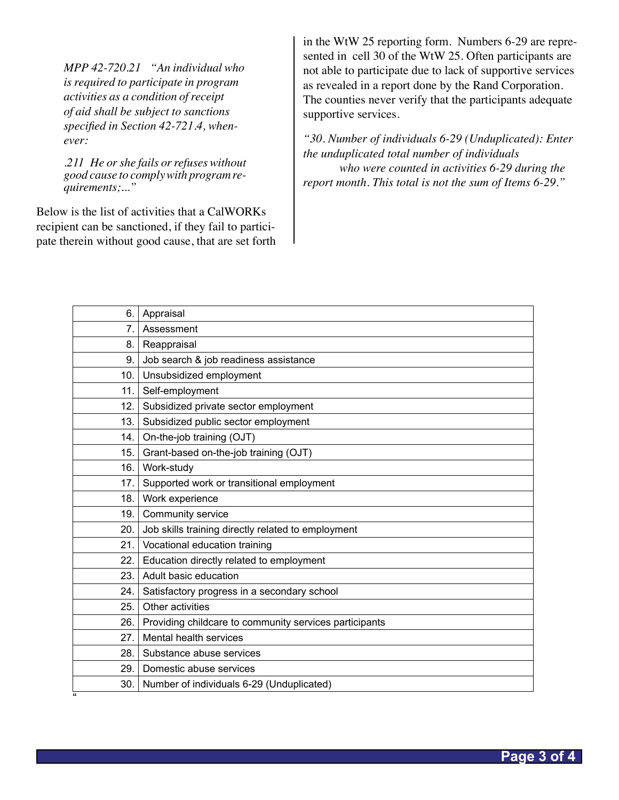*MPP 42-720.21 "An individual who is required to participate in program activities as a condition of receipt of aid shall be subject to sanctions specified in Section 42-721.4, whenever:*

*.211 He or she fails or refuses without good cause to comply with program requirements;..."*

Below is the list of activities that a CalWORKs recipient can be sanctioned, if they fail to participate therein without good cause, that are set forth in the WtW 25 reporting form. Numbers 6-29 are represented in cell 30 of the WtW 25. Often participants are not able to participate due to lack of supportive services as revealed in a report done by the Rand Corporation. The counties never verify that the participants adequate supportive services.

*"30. Number of individuals 6-29 (Unduplicated): Enter the unduplicated total number of individuals who were counted in activities 6-29 during the report month. This total is not the sum of Items 6-29."*

| 6.                      | Appraisal                                              |
|-------------------------|--------------------------------------------------------|
| $\overline{7}$ .        | Assessment                                             |
| 8.                      | Reappraisal                                            |
| 9.                      | Job search & job readiness assistance                  |
| 10.                     | Unsubsidized employment                                |
| 11.                     | Self-employment                                        |
| 12.                     | Subsidized private sector employment                   |
| 13.                     | Subsidized public sector employment                    |
| 14.                     | On-the-job training (OJT)                              |
| 15.                     | Grant-based on-the-job training (OJT)                  |
| 16.                     | Work-study                                             |
| 17.                     | Supported work or transitional employment              |
| 18.                     | Work experience                                        |
| 19.                     | Community service                                      |
| 20.                     | Job skills training directly related to employment     |
| 21.                     | Vocational education training                          |
| 22.                     | Education directly related to employment               |
| 23.                     | Adult basic education                                  |
| 24.                     | Satisfactory progress in a secondary school            |
| 25.                     | Other activities                                       |
| 26.                     | Providing childcare to community services participants |
| 27.                     | Mental health services                                 |
| 28.                     | Substance abuse services                               |
| 29.                     | Domestic abuse services                                |
| 30.                     | Number of individuals 6-29 (Unduplicated)              |
| $\overline{\mathbf{a}}$ |                                                        |